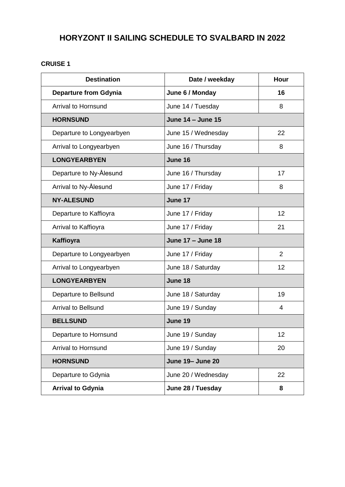## **HORYZONT II SAILING SCHEDULE TO SVALBARD IN 2022**

## **CRUISE 1**

| <b>Destination</b>           | Date / weekday           | Hour           |
|------------------------------|--------------------------|----------------|
| <b>Departure from Gdynia</b> | June 6 / Monday          | 16             |
| <b>Arrival to Hornsund</b>   | June 14 / Tuesday        | 8              |
| <b>HORNSUND</b>              | June 14 - June 15        |                |
| Departure to Longyearbyen    | June 15 / Wednesday      | 22             |
| Arrival to Longyearbyen      | June 16 / Thursday       | 8              |
| <b>LONGYEARBYEN</b>          | June 16                  |                |
| Departure to Ny-Ålesund      | June 16 / Thursday       | 17             |
| Arrival to Ny-Ålesund        | June 17 / Friday         | 8              |
| <b>NY-ALESUND</b>            | June 17                  |                |
| Departure to Kaffioyra       | June 17 / Friday         | 12             |
| Arrival to Kaffioyra         | June 17 / Friday         | 21             |
| Kaffioyra                    | <b>June 17 - June 18</b> |                |
| Departure to Longyearbyen    | June 17 / Friday         | $\overline{2}$ |
| Arrival to Longyearbyen      | June 18 / Saturday       | 12             |
| <b>LONGYEARBYEN</b>          | June 18                  |                |
| Departure to Bellsund        | June 18 / Saturday       | 19             |
| <b>Arrival to Bellsund</b>   | June 19 / Sunday         | 4              |
| <b>BELLSUND</b>              | June 19                  |                |
| Departure to Hornsund        | June 19 / Sunday         | 12             |
| <b>Arrival to Hornsund</b>   | June 19 / Sunday         | 20             |
| <b>HORNSUND</b>              | <b>June 19- June 20</b>  |                |
| Departure to Gdynia          | June 20 / Wednesday      | 22             |
| <b>Arrival to Gdynia</b>     | June 28 / Tuesday        | 8              |